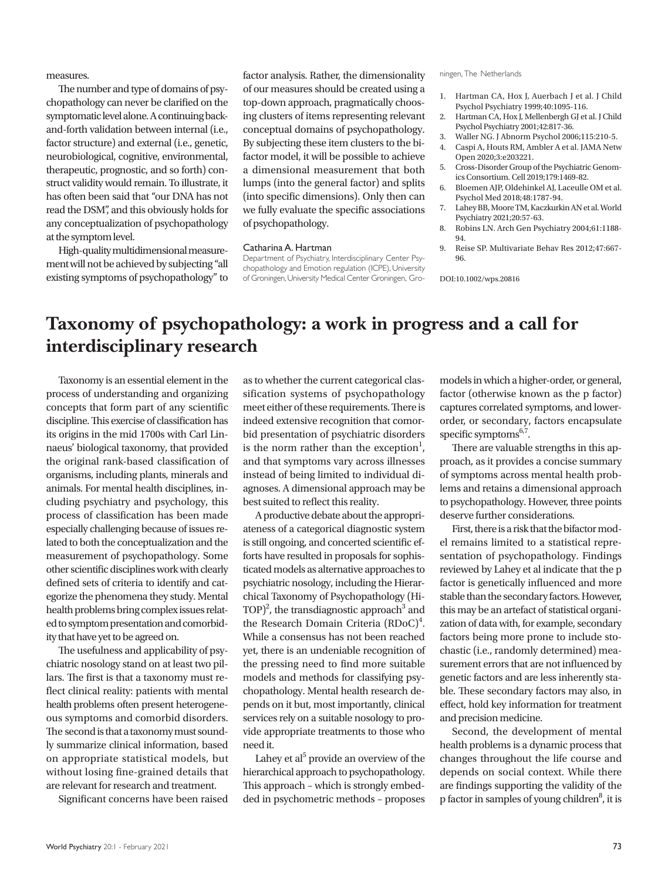measures.

The number and type of domains of psychopathology can never be clarified on the symptomatic level alone. A continuing backand-forth validation between internal (i.e., factor structure) and external (i.e., genetic, neurobiological, cognitive, environmental, therapeutic, prognostic, and so forth) construct validity would remain. To illustrate, it has often been said that "our DNA has not read the DSM", and this obviously holds for any conceptualization of psychopathology at the symptom level.

High-quality multidimensional measurement will not be achieved by subjecting "all existing symptoms of psychopathology" to

factor analysis. Rather, the dimensionality of our measures should be created using a top-down approach, pragmatically choosing clusters of items representing relevant conceptual domains of psychopathology. By subjecting these item clusters to the bifactor model, it will be possible to achieve a dimensional measurement that both lumps (into the general factor) and splits (into specific dimensions). Only then can we fully evaluate the specific associations of psychopathology.

## Catharina A. Hartman

Department of Psychiatry, Interdisciplinary Center Psychopathology and Emotion regulation (ICPE), University of Groningen, University Medical Center Groningen, Gro-

## ningen, The Netherlands

- 1. Hartman CA, Hox J, Auerbach J et al. J Child Psychol Psychiatry 1999;40:1095-116.
- 2. Hartman CA, Hox J, Mellenbergh GJ et al. J Child Psychol Psychiatry 2001;42:817-36.
- 3. Waller NG. J Abnorm Psychol 2006;115:210-5.
- 4. Caspi A, Houts RM, Ambler A et al. JAMA Netw Open 2020;3:e203221.
- 5. Cross-Disorder Group of the Psychiatric Genomics Consortium. Cell 2019;179:1469-82.
- 6. Bloemen AJP, Oldehinkel AJ, Laceulle OM et al. Psychol Med 2018;48:1787-94.
- 7. Lahey BB, Moore TM, Kaczkurkin AN et al. World Psychiatry 2021;20:57-63.
- 8. Robins LN. Arch Gen Psychiatry 2004;61:1188- 94.
- 9. Reise SP. Multivariate Behav Res 2012;47:667- 96.

DOI:10.1002/wps.20816

## **Taxonomy of psychopathology: a work in progress and a call for interdisciplinary research**

Taxonomy is an essential element in the process of understanding and organizing concepts that form part of any scientific discipline. This exercise of classification has its origins in the mid 1700s with Carl Linnaeus' biological taxonomy, that provided the original rank-based classification of organisms, including plants, minerals and animals. For mental health disciplines, including psychiatry and psychology, this process of classification has been made especially challenging because of issues related to both the conceptualization and the measurement of psychopathology. Some other scientific disciplines work with clearly defined sets of criteria to identify and categorize the phenomena they study. Mental health problems bring complex issues related to symptom presentation and comorbidity that have yet to be agreed on.

The usefulness and applicability of psychiatric nosology stand on at least two pillars. The first is that a taxonomy must reflect clinical reality: patients with mental health problems often present heterogeneous symptoms and comorbid disorders. The second is that a taxonomy must soundly summarize clinical information, based on appropriate statistical models, but without losing fine-grained details that are relevant for research and treatment.

Significant concerns have been raised

as to whether the current categorical classification systems of psychopathology meet either of these requirements. There is indeed extensive recognition that comorbid presentation of psychiatric disorders is the norm rather than the exception<sup>1</sup>, and that symptoms vary across illnesses instead of being limited to individual diagnoses. A dimensional approach may be best suited to reflect this reality.

A productive debate about the appropriateness of a categorical diagnostic system is still ongoing, and concerted scientific efforts have resulted in proposals for sophisticated models as alternative approaches to psychiatric nosology, including the Hierarchical Taxonomy of Psychopathology (Hi- $\text{TOP}^2$ , the transdiagnostic approach<sup>3</sup> and the Research Domain Criteria  $(RDoC)^4$ . While a consensus has not been reached yet, there is an undeniable recognition of the pressing need to find more suitable models and methods for classifying psychopathology. Mental health research depends on it but, most importantly, clinical services rely on a suitable nosology to provide appropriate treatments to those who need it.

Lahey et al<sup>5</sup> provide an overview of the hierarchical approach to psychopathology. This approach – which is strongly embedded in psychometric methods – proposes

models in which a higher-order, or general, factor (otherwise known as the p factor) captures correlated symptoms, and lowerorder, or secondary, factors encapsulate specific symptoms<sup>6,7</sup>.

There are valuable strengths in this approach, as it provides a concise summary of symptoms across mental health problems and retains a dimensional approach to psychopathology. However, three points deserve further considerations.

First, there is a risk that the bifactor model remains limited to a statistical representation of psychopathology. Findings reviewed by Lahey et al indicate that the p factor is genetically influenced and more stable than the secondary factors. However, this may be an artefact of statistical organization of data with, for example, secondary factors being more prone to include stochastic (i.e., randomly determined) measurement errors that are not influenced by genetic factors and are less inherently stable. These secondary factors may also, in effect, hold key information for treatment and precision medicine.

Second, the development of mental health problems is a dynamic process that changes throughout the life course and depends on social context. While there are findings supporting the validity of the p factor in samples of young children<sup>8</sup>, it is